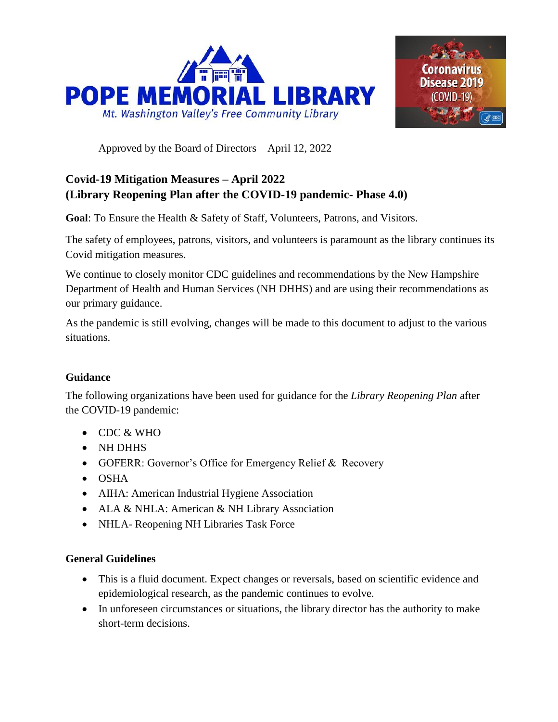



Approved by the Board of Directors – April 12, 2022

# **Covid-19 Mitigation Measures – April 2022 (Library Reopening Plan after the COVID-19 pandemic- Phase 4.0)**

**Goal**: To Ensure the Health & Safety of Staff, Volunteers, Patrons, and Visitors.

The safety of employees, patrons, visitors, and volunteers is paramount as the library continues its Covid mitigation measures.

We continue to closely monitor CDC guidelines and recommendations by the New Hampshire Department of Health and Human Services (NH DHHS) and are using their recommendations as our primary guidance.

As the pandemic is still evolving, changes will be made to this document to adjust to the various situations.

### **Guidance**

The following organizations have been used for guidance for the *Library Reopening Plan* after the COVID-19 pandemic:

- CDC & WHO
- NH DHHS
- GOFERR: Governor's Office for Emergency Relief & Recovery
- OSHA
- AIHA: American Industrial Hygiene Association
- ALA & NHLA: American & NH Library Association
- NHLA- Reopening NH Libraries Task Force

### **General Guidelines**

- This is a fluid document. Expect changes or reversals, based on scientific evidence and epidemiological research, as the pandemic continues to evolve.
- In unforeseen circumstances or situations, the library director has the authority to make short-term decisions.